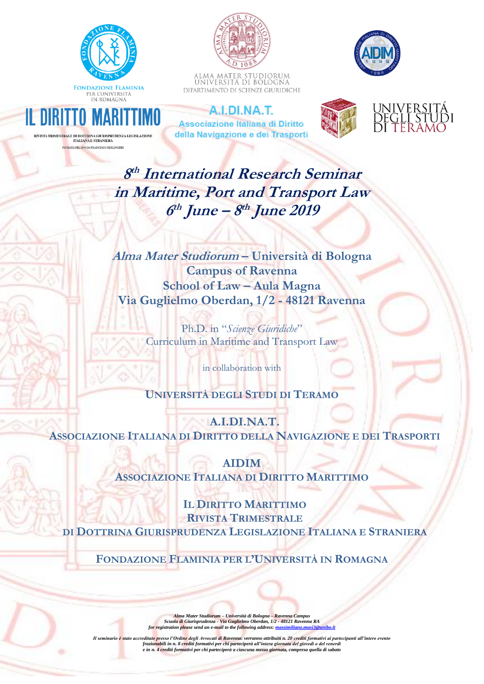

**RIMESTRALE DI DOTTRINA GIURISPRUDENZA LEGISI. ITALIANA E STRANIERA** A NEL 1899 DA FRANCESCO BERLINGIERI



ALMA MATER STUDIORUM<br>Università di Bologna DIPARTIMENTO DI SCIENZE GIURIDICHE



A.I.DI.NA.T. **Associazione Italiana di Diritto** della Navigazione e dei Trasporti





**8 th International Research Seminar in Maritime, Port and Transport Law 6 th June – 8 th June 2019**

**Alma Mater Studiorum – Università di Bologna Campus of Ravenna School of Law – Aula Magna Via Guglielmo Oberdan, 1/2 - 48121 Ravenna**

> Ph.D. in "*Scienze Giuridiche*" Curriculum in Maritime and Transport Law

> > in collaboration with

## **UNIVERSITÀ DEGLI STUDI DI TERAMO**

**A.I.DI.NA.T. ASSOCIAZIONE ITALIANA DI DIRITTO DELLA NAVIGAZIONE E DEI TRASPORTI** 

> **AIDIM ASSOCIAZIONE ITALIANA DI DIRITTO MARITTIMO**

**IL DIRITTO MARITTIMO RIVISTA TRIMESTRALE DI DOTTRINA GIURISPRUDENZA LEGISLAZIONE ITALIANA E STRANIERA**

**FONDAZIONE FLAMINIA PER L'UNIVERSITÀ IN ROMAGNA** 

Alma Mater Studiorum – Università di Bologna – Ravenna Campus<br>Scuola di Giurisprudenza - Via Guglielmo Oberdan, 1/2 - 48121 Ravenna RA<br>for registration please send an e-mail to the following address: <u>massimiliano.musi3@un</u>

Il seminario è stato accreditato presso l'Ordine degli Avvocati di Ravenna: verranno attribuiti n. 20 crediti formativi ai partecipanti all'intero evento<br>frazionabili in n. 8 crediti formativi per chi parteciperà all'inter